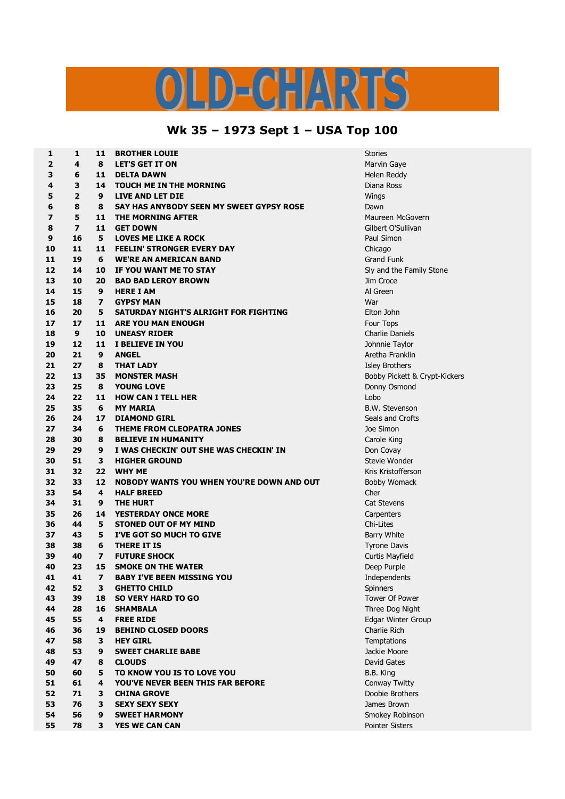## $\bigcap$

## **Wk 35 – 1973 Sept 1 – USA Top 100**

| 1              | 1              | 11                      | <b>BROTHER LOUIE</b>                      | <b>Stories</b>     |
|----------------|----------------|-------------------------|-------------------------------------------|--------------------|
| $\overline{2}$ | 4              | 8                       | <b>LET'S GET IT ON</b>                    | Marvin Gay         |
| 3              | 6              | 11                      | <b>DELTA DAWN</b>                         | Helen Redo         |
| 4              | 3              | 14                      | <b>TOUCH ME IN THE MORNING</b>            | Diana Ross         |
| 5              | $\overline{2}$ | 9                       | <b>LIVE AND LET DIE</b>                   | Wings              |
| 6              | 8              | 8                       | SAY HAS ANYBODY SEEN MY SWEET GYPSY ROSE  | Dawn               |
| 7              | 5              | 11                      | <b>THE MORNING AFTER</b>                  | Maureen M          |
| 8              | $\overline{ }$ | 11                      | <b>GET DOWN</b>                           | Gilbert O'S        |
| 9              | 16             | 5                       | <b>LOVES ME LIKE A ROCK</b>               | Paul Simon         |
| 10             | 11             | 11                      | <b>FEELIN' STRONGER EVERY DAY</b>         | Chicago            |
| 11             | 19             | 6                       | <b>WE'RE AN AMERICAN BAND</b>             | <b>Grand Funl</b>  |
| 12             | 14             | 10                      | IF YOU WANT ME TO STAY                    | Sly and the        |
| 13             | 10             | 20                      | <b>BAD BAD LEROY BROWN</b>                | Jim Croce          |
| 14             | 15             | 9                       | <b>HERE I AM</b>                          | Al Green           |
| 15             | 18             | 7                       | <b>GYPSY MAN</b>                          | War                |
| 16             | 20             | 5                       | SATURDAY NIGHT'S ALRIGHT FOR FIGHTING     | Elton John         |
| 17             | 17             | 11                      | <b>ARE YOU MAN ENOUGH</b>                 | Four Tops          |
| 18             | 9              | 10                      | <b>UNEASY RIDER</b>                       | Charlie Dar        |
| 19             | 12             | 11                      | I BELIEVE IN YOU                          | Johnnie Ta         |
| 20             | 21             | 9                       | <b>ANGEL</b>                              | Aretha Frai        |
| 21             | 27             | 8                       | <b>THAT LADY</b>                          | <b>Isley Broth</b> |
| 22             | 13             | 35                      | <b>MONSTER MASH</b>                       | <b>Bobby Pick</b>  |
| 23             | 25             | 8                       | <b>YOUNG LOVE</b>                         | Donny Osn          |
| 24             | 22             | 11                      | <b>HOW CAN I TELL HER</b>                 | Lobo               |
| 25             | 35             | 6                       | <b>MY MARIA</b>                           | <b>B.W. Steve</b>  |
| 26             | 24             | 17                      | <b>DIAMOND GIRL</b>                       | Seals and 0        |
| 27             | 34             | 6                       | THEME FROM CLEOPATRA JONES                | Joe Simon          |
| 28             | 30             | 8                       | <b>BELIEVE IN HUMANITY</b>                | Carole King        |
| 29             | 29             | 9                       | I WAS CHECKIN' OUT SHE WAS CHECKIN' IN    | Don Covay          |
| 30             | 51             | З                       | <b>HIGHER GROUND</b>                      | Stevie Wor         |
| 31             | 32             | 22                      | <b>WHY ME</b>                             | Kris Kristof       |
| 32             | 33             | 12                      | NOBODY WANTS YOU WHEN YOU'RE DOWN AND OUT | <b>Bobby Wor</b>   |
| 33             | 54             | 4                       | <b>HALF BREED</b>                         | Cher               |
| 34             | 31             | 9                       | <b>THE HURT</b>                           | Cat Steven         |
| 35             | 26             | 14                      | <b>YESTERDAY ONCE MORE</b>                | Carpenters         |
| 36             | 44             | 5                       | <b>STONED OUT OF MY MIND</b>              | Chi-Lites          |
| 37             | 43             | 5                       | I'VE GOT SO MUCH TO GIVE                  | Barry Whit         |
| 38             | 38             | 6                       | <b>THERE IT IS</b>                        | Tyrone Day         |
| 39             | 40             | $\overline{\mathbf{z}}$ | <b>FUTURE SHOCK</b>                       | <b>Curtis May</b>  |
| 40             | 23             | 15                      | <b>SMOKE ON THE WATER</b>                 | Deep Purpl         |
| 41             | 41             | 7                       | <b>BABY I'VE BEEN MISSING YOU</b>         | Independe          |
| 42             | 52             | 3                       | <b>GHETTO CHILD</b>                       | <b>Spinners</b>    |
| 43             | 39             | 18                      | <b>SO VERY HARD TO GO</b>                 | Tower Of F         |
| 44             | 28             | 16                      | <b>SHAMBALA</b>                           | Three Dog          |
| 45             | 55             | 4                       | <b>FREE RIDE</b>                          | <b>Edgar Wint</b>  |
| 46             | 36             | 19                      | <b>BEHIND CLOSED DOORS</b>                | Charlie Ric        |
| 47             | 58             | 3                       | <b>HEY GIRL</b>                           | Temptation         |
| 48             | 53             | 9                       | <b>SWEET CHARLIE BABE</b>                 | Jackie Moo         |
| 49             | 47             | 8                       | <b>CLOUDS</b>                             | David Gate         |
| 50             | 60             | 5                       | TO KNOW YOU IS TO LOVE YOU                | B.B. King          |
| 51             | 61             | 4                       | YOU'VE NEVER BEEN THIS FAR BEFORE         | Conway Tv          |
| 52             | 71             | 3                       | <b>CHINA GROVE</b>                        | Doobie Bro         |
| 53             | 76             | 3                       | <b>SEXY SEXY SEXY</b>                     | James Broy         |
| 54             | 56             | 9                       | <b>SWEET HARMONY</b>                      | Smokey Ro          |
| 55             | 78             | 3                       | YES WE CAN CAN                            | Pointer Sist       |
|                |                |                         |                                           |                    |

**Marvin Gaye Helen Reddy**  $D$  **Diana Ross 7 5 11 THE MORNING AFTER** Maureen McGovern **8 7 11 GET DOWN** Gilbert O'Sullivan **Grand Funk 12 14 10 IF YOU WANT ME TO STAY** Sly and the Family Stone **18 9 10 UNEASY RIDER** Charlie Daniels **1** Johnnie Taylor **Aretha Franklin**  $I$  **Sley Brothers 22 13 35 MONSTER MASH** Bobby Pickett & Crypt-Kickers **23 Donny Osmond 25 35 6 MY MARIA** B.W. Stevenson **26 24 17 DIAMOND GIRL** Seals and Crofts **2** Carole King **29 29 9 I WAS CHECKIN' OUT SHE WAS CHECKIN' IN** Don Covay **Stevie Wonder 31 32 22 WHY ME** Kris Kristofferson **Bobby Womack Cat Stevens**  $Carpenters$ **Barry White Tyrone Davis Curtis Mayfield Deep Purple**  $Independents$ **7** Tower Of Power **7** Three Dog Night **Edgar Winter Group Charlie Rich**  $Temptations$ **Jackie Moore David Gates Conway Twitty Doobie Brothers James Brown Smokey Robinson Pointer Sisters**